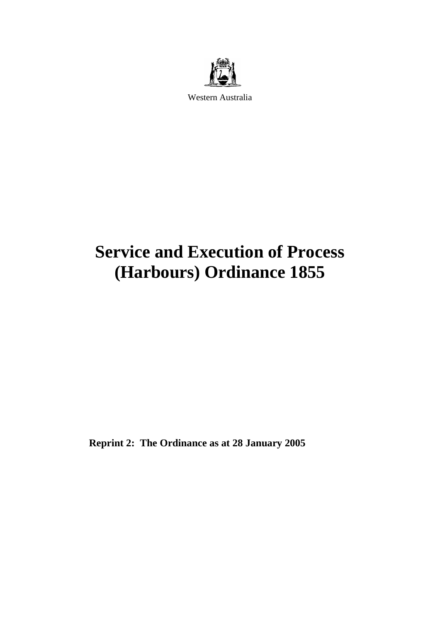

Western Australia

# **Service and Execution of Process (Harbours) Ordinance 1855**

**Reprint 2: The Ordinance as at 28 January 2005**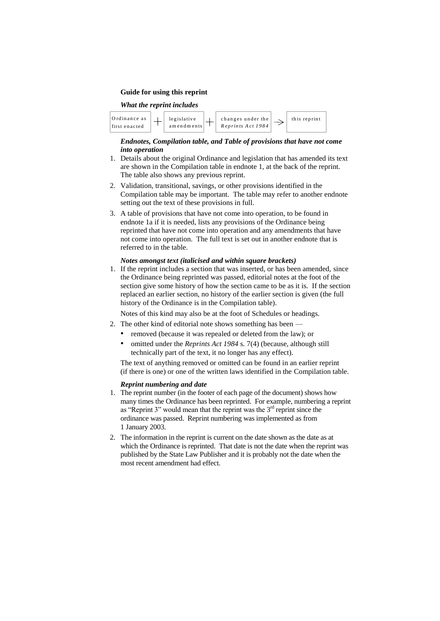#### **Guide for using this reprint**

#### *What the reprint includes*



#### *Endnotes, Compilation table, and Table of provisions that have not come into operation*

- 1. Details about the original Ordinance and legislation that has amended its text are shown in the Compilation table in endnote 1, at the back of the reprint. The table also shows any previous reprint.
- 2. Validation, transitional, savings, or other provisions identified in the Compilation table may be important. The table may refer to another endnote setting out the text of these provisions in full.
- 3. A table of provisions that have not come into operation, to be found in endnote 1a if it is needed, lists any provisions of the Ordinance being reprinted that have not come into operation and any amendments that have not come into operation. The full text is set out in another endnote that is referred to in the table.

#### *Notes amongst text (italicised and within square brackets)*

1. If the reprint includes a section that was inserted, or has been amended, since the Ordinance being reprinted was passed, editorial notes at the foot of the section give some history of how the section came to be as it is. If the section replaced an earlier section, no history of the earlier section is given (the full history of the Ordinance is in the Compilation table).

Notes of this kind may also be at the foot of Schedules or headings.

- 2. The other kind of editorial note shows something has been
	- removed (because it was repealed or deleted from the law); or
	- omitted under the *Reprints Act 1984* s. 7(4) (because, although still technically part of the text, it no longer has any effect).

The text of anything removed or omitted can be found in an earlier reprint (if there is one) or one of the written laws identified in the Compilation table.

#### *Reprint numbering and date*

- 1. The reprint number (in the footer of each page of the document) shows how many times the Ordinance has been reprinted. For example, numbering a reprint as "Reprint 3" would mean that the reprint was the 3<sup>rd</sup> reprint since the ordinance was passed. Reprint numbering was implemented as from 1 January 2003.
- 2. The information in the reprint is current on the date shown as the date as at which the Ordinance is reprinted. That date is not the date when the reprint was published by the State Law Publisher and it is probably not the date when the most recent amendment had effect.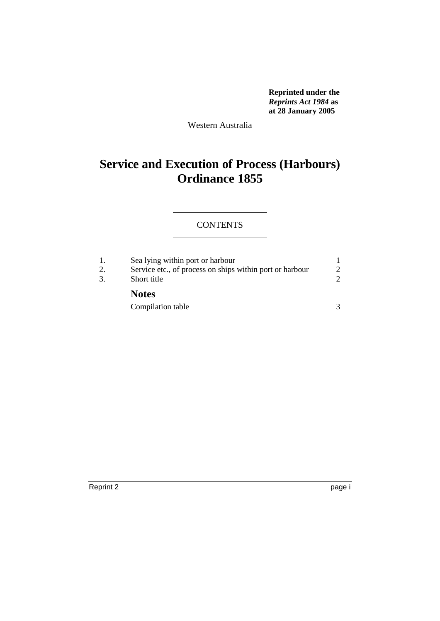**Reprinted under the**  *Reprints Act 1984* **as at 28 January 2005**

Western Australia

# **Service and Execution of Process (Harbours) Ordinance 1855**

# **CONTENTS**

| 3. | Sea lying within port or harbour<br>Service etc., of process on ships within port or harbour<br>Short title |  |
|----|-------------------------------------------------------------------------------------------------------------|--|
|    | <b>Notes</b>                                                                                                |  |
|    | Compilation table                                                                                           |  |

Reprint 2 page i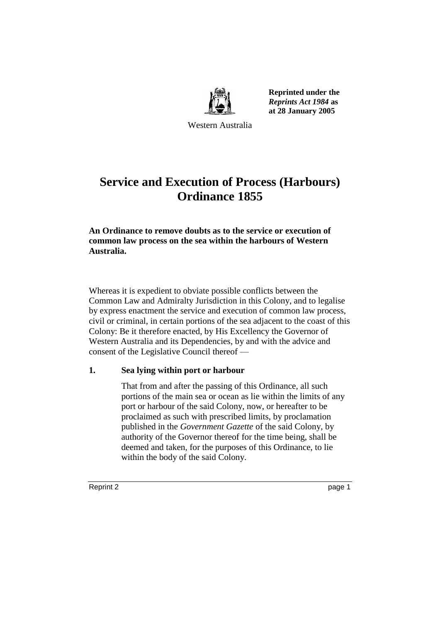

**Reprinted under the**  *Reprints Act 1984* **as at 28 January 2005**

Western Australia

# **Service and Execution of Process (Harbours) Ordinance 1855**

**An Ordinance to remove doubts as to the service or execution of common law process on the sea within the harbours of Western Australia.**

Whereas it is expedient to obviate possible conflicts between the Common Law and Admiralty Jurisdiction in this Colony, and to legalise by express enactment the service and execution of common law process, civil or criminal, in certain portions of the sea adjacent to the coast of this Colony: Be it therefore enacted, by His Excellency the Governor of Western Australia and its Dependencies, by and with the advice and consent of the Legislative Council thereof —

# **1. Sea lying within port or harbour**

That from and after the passing of this Ordinance, all such portions of the main sea or ocean as lie within the limits of any port or harbour of the said Colony, now, or hereafter to be proclaimed as such with prescribed limits, by proclamation published in the *Government Gazette* of the said Colony, by authority of the Governor thereof for the time being, shall be deemed and taken, for the purposes of this Ordinance, to lie within the body of the said Colony.

Reprint 2 page 1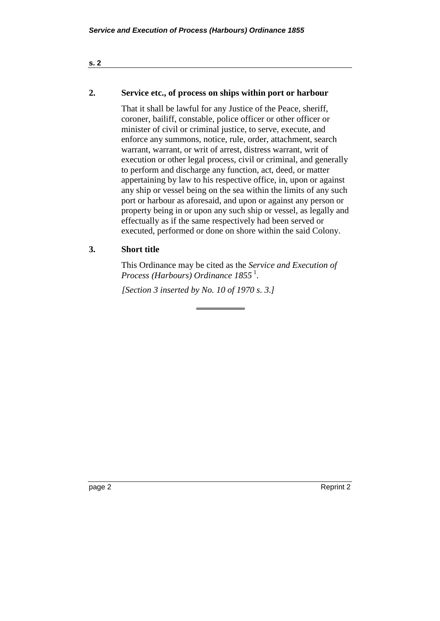#### **s. 2**

## **2. Service etc., of process on ships within port or harbour**

That it shall be lawful for any Justice of the Peace, sheriff, coroner, bailiff, constable, police officer or other officer or minister of civil or criminal justice, to serve, execute, and enforce any summons, notice, rule, order, attachment, search warrant, warrant, or writ of arrest, distress warrant, writ of execution or other legal process, civil or criminal, and generally to perform and discharge any function, act, deed, or matter appertaining by law to his respective office, in, upon or against any ship or vessel being on the sea within the limits of any such port or harbour as aforesaid, and upon or against any person or property being in or upon any such ship or vessel, as legally and effectually as if the same respectively had been served or executed, performed or done on shore within the said Colony.

# **3. Short title**

This Ordinance may be cited as the *Service and Execution of*  Process (Harbours) Ordinance 1855<sup>1</sup>.

*[Section 3 inserted by No. 10 of 1970 s. 3.]* 

page 2 Reprint 2